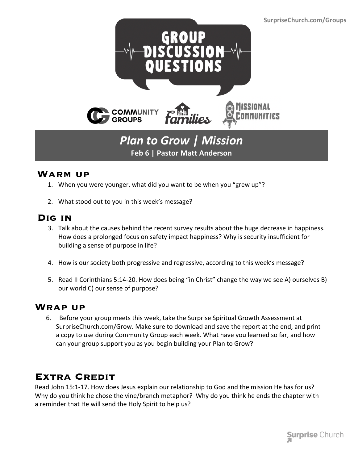

# *Plan to Grow | Mission* **Feb 6 | Pastor Matt Anderson**

#### **Warm up**

- 1. When you were younger, what did you want to be when you "grew up"?
- 2. What stood out to you in this week's message?

### **Dig in**

- 3. Talk about the causes behind the recent survey results about the huge decrease in happiness. How does a prolonged focus on safety impact happiness? Why is security insufficient for building a sense of purpose in life?
- 4. How is our society both progressive and regressive, according to this week's message?
- 5. Read II Corinthians 5:14-20. How does being "in Christ" change the way we see A) ourselves B) our world C) our sense of purpose?

#### **Wrap up**

 6. Before your group meets this week, take the Surprise Spiritual Growth Assessment at SurpriseChurch.com/Grow. Make sure to download and save the report at the end, and print a copy to use during Community Group each week. What have you learned so far, and how can your group support you as you begin building your Plan to Grow?

## **Extra Credit**

Read John 15:1-17. How does Jesus explain our relationship to God and the mission He has for us? Why do you think he chose the vine/branch metaphor? Why do you think he ends the chapter with a reminder that He will send the Holy Spirit to help us?